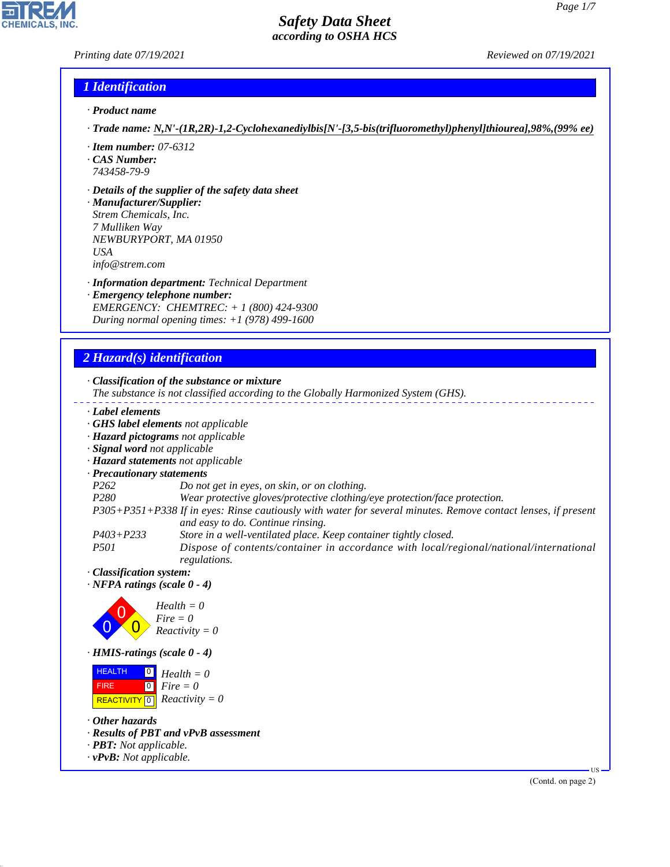#### *Printing date 07/19/2021 Reviewed on 07/19/2021*

#### *1 Identification*

- *· Product name*
- *· Trade name: N,N'-(1R,2R)-1,2-Cyclohexanediylbis[N'-[3,5-bis(trifluoromethyl)phenyl]thiourea],98%,(99% ee)*
- *· Item number: 07-6312*
- *· CAS Number: 743458-79-9*
- *· Details of the supplier of the safety data sheet*

*· Manufacturer/Supplier: Strem Chemicals, Inc. 7 Mulliken Way NEWBURYPORT, MA 01950 USA info@strem.com*

- *· Information department: Technical Department*
- *· Emergency telephone number: EMERGENCY: CHEMTREC: + 1 (800) 424-9300 During normal opening times: +1 (978) 499-1600*

### *2 Hazard(s) identification*



- *The substance is not classified according to the Globally Harmonized System (GHS).*
- *· Label elements*
- *· GHS label elements not applicable*
- *· Hazard pictograms not applicable*
- *· Signal word not applicable*
- *· Hazard statements not applicable*
- *· Precautionary statements*
- *P262 Do not get in eyes, on skin, or on clothing.*
- *P280 Wear protective gloves/protective clothing/eye protection/face protection.*

*P305+P351+P338 If in eyes: Rinse cautiously with water for several minutes. Remove contact lenses, if present and easy to do. Continue rinsing.*

- *P403+P233 Store in a well-ventilated place. Keep container tightly closed.*
- *P501 Dispose of contents/container in accordance with local/regional/national/international regulations.*
- *· Classification system:*
- *· NFPA ratings (scale 0 4)*



*· HMIS-ratings (scale 0 - 4)*

**HEALTH**  FIRE  $\boxed{\text{REACTIVITY} \boxed{0}}$  Reactivity = 0  $\overline{0}$  $\boxed{0}$ *Health = 0 Fire = 0*

*· Other hazards*

44.1.1

- *· Results of PBT and vPvB assessment*
- *· PBT: Not applicable.*
- *· vPvB: Not applicable.*

(Contd. on page 2)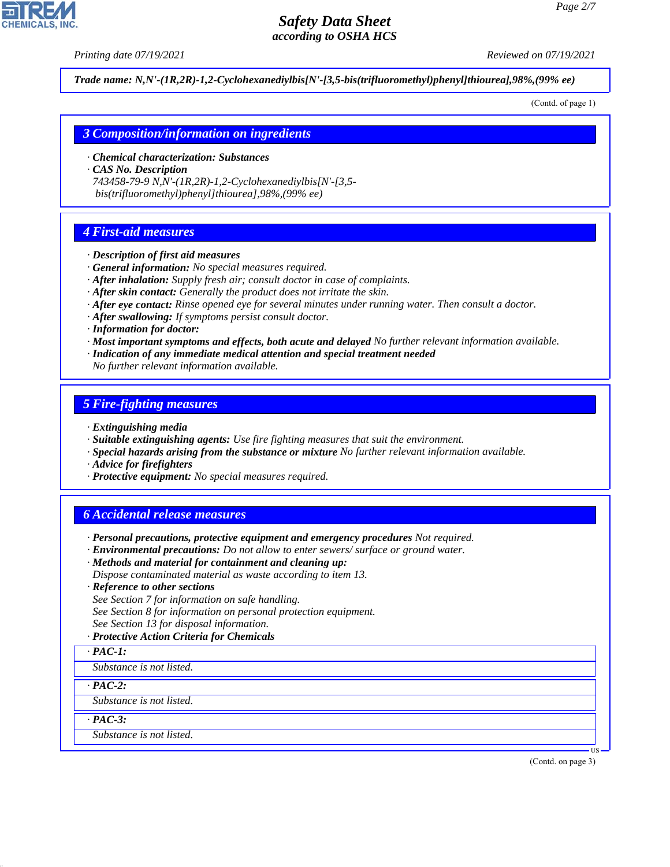*Printing date 07/19/2021 Reviewed on 07/19/2021*

*Trade name: N,N'-(1R,2R)-1,2-Cyclohexanediylbis[N'-[3,5-bis(trifluoromethyl)phenyl]thiourea],98%,(99% ee)*

(Contd. of page 1)

#### *3 Composition/information on ingredients*

- *· Chemical characterization: Substances*
- *· CAS No. Description*

*743458-79-9 N,N'-(1R,2R)-1,2-Cyclohexanediylbis[N'-[3,5 bis(trifluoromethyl)phenyl]thiourea],98%,(99% ee)*

#### *4 First-aid measures*

- *· Description of first aid measures*
- *· General information: No special measures required.*
- *· After inhalation: Supply fresh air; consult doctor in case of complaints.*
- *· After skin contact: Generally the product does not irritate the skin.*
- *· After eye contact: Rinse opened eye for several minutes under running water. Then consult a doctor.*
- *· After swallowing: If symptoms persist consult doctor.*
- *· Information for doctor:*
- *· Most important symptoms and effects, both acute and delayed No further relevant information available.*
- *· Indication of any immediate medical attention and special treatment needed*

*No further relevant information available.*

#### *5 Fire-fighting measures*

- *· Extinguishing media*
- *· Suitable extinguishing agents: Use fire fighting measures that suit the environment.*
- *· Special hazards arising from the substance or mixture No further relevant information available.*
- *· Advice for firefighters*
- *· Protective equipment: No special measures required.*

#### *6 Accidental release measures*

- *· Personal precautions, protective equipment and emergency procedures Not required.*
- *· Environmental precautions: Do not allow to enter sewers/ surface or ground water.*
- *· Methods and material for containment and cleaning up: Dispose contaminated material as waste according to item 13.*
- *· Reference to other sections*
- *See Section 7 for information on safe handling. See Section 8 for information on personal protection equipment. See Section 13 for disposal information.*
- *· Protective Action Criteria for Chemicals*
- *· PAC-1:*
- *Substance is not listed.*

*· PAC-2:*

*Substance is not listed.*

*· PAC-3:*

44.1.1

*Substance is not listed.*

(Contd. on page 3)

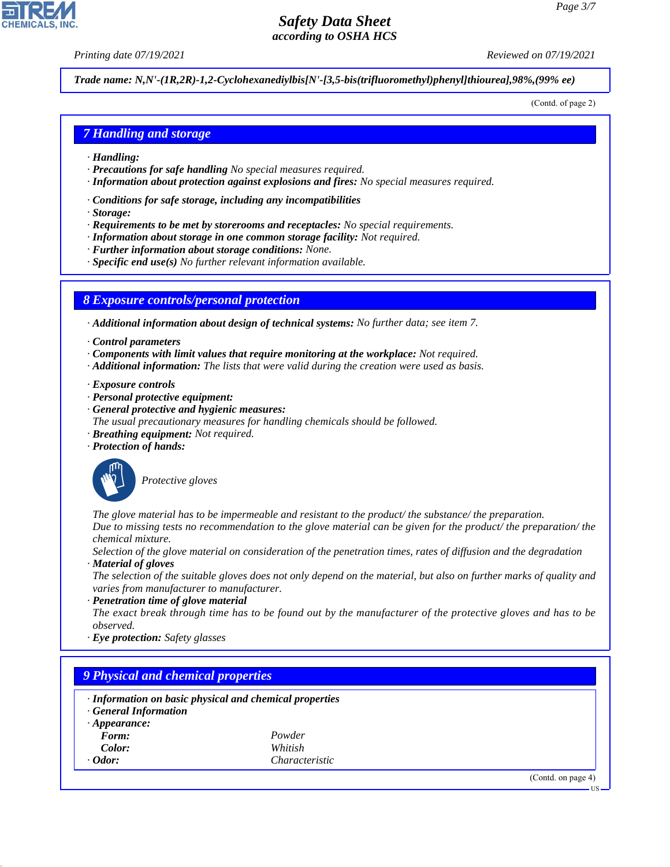*Printing date 07/19/2021 Reviewed on 07/19/2021*

*Trade name: N,N'-(1R,2R)-1,2-Cyclohexanediylbis[N'-[3,5-bis(trifluoromethyl)phenyl]thiourea],98%,(99% ee)*

(Contd. of page 2)

### *7 Handling and storage*

- *· Handling:*
- *· Precautions for safe handling No special measures required.*
- *· Information about protection against explosions and fires: No special measures required.*
- *· Conditions for safe storage, including any incompatibilities*
- *· Storage:*
- *· Requirements to be met by storerooms and receptacles: No special requirements.*
- *· Information about storage in one common storage facility: Not required.*
- *· Further information about storage conditions: None.*
- *· Specific end use(s) No further relevant information available.*

#### *8 Exposure controls/personal protection*

*· Additional information about design of technical systems: No further data; see item 7.*

- *· Control parameters*
- *· Components with limit values that require monitoring at the workplace: Not required.*
- *· Additional information: The lists that were valid during the creation were used as basis.*
- *· Exposure controls*
- *· Personal protective equipment:*
- *· General protective and hygienic measures:*
- *The usual precautionary measures for handling chemicals should be followed.*
- *· Breathing equipment: Not required.*
- *· Protection of hands:*



\_S*Protective gloves*

*The glove material has to be impermeable and resistant to the product/ the substance/ the preparation. Due to missing tests no recommendation to the glove material can be given for the product/ the preparation/ the chemical mixture.*

*Selection of the glove material on consideration of the penetration times, rates of diffusion and the degradation*

*· Material of gloves*

*The selection of the suitable gloves does not only depend on the material, but also on further marks of quality and varies from manufacturer to manufacturer.*

*· Penetration time of glove material The exact break through time has to be found out by the manufacturer of the protective gloves and has to be observed.*

*· Eye protection: Safety glasses*

### *9 Physical and chemical properties*

- *· Information on basic physical and chemical properties*
- *· General Information*
- *· Appearance:*
	- *Form: Powder Color: Whitish*
- *Odor: Characteristic*

44.1.1

(Contd. on page 4)

US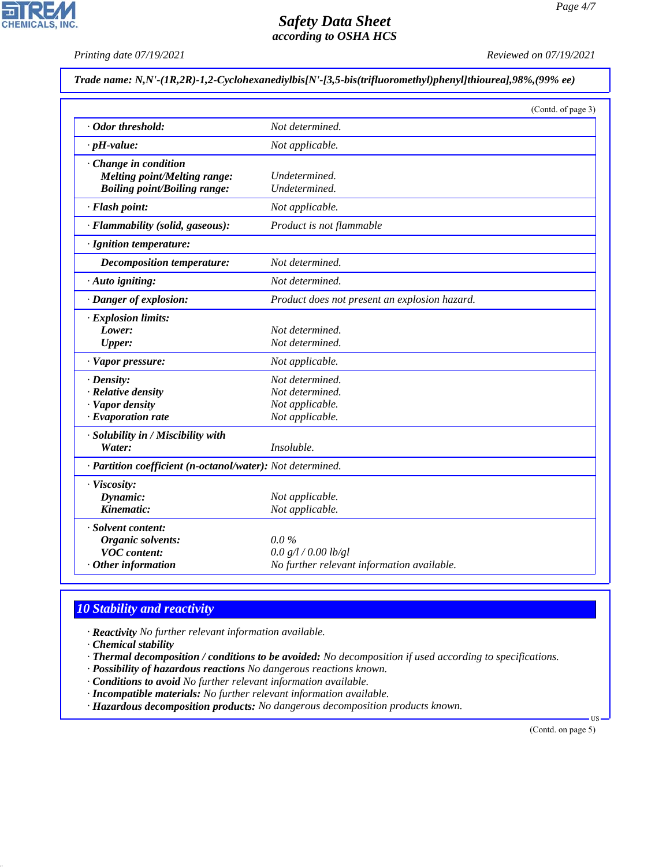*Printing date 07/19/2021 Reviewed on 07/19/2021*

*Trade name: N,N'-(1R,2R)-1,2-Cyclohexanediylbis[N'-[3,5-bis(trifluoromethyl)phenyl]thiourea],98%,(99% ee)*

|                                                            | (Contd. of page 3)                            |  |
|------------------------------------------------------------|-----------------------------------------------|--|
| Odor threshold:                                            | Not determined.                               |  |
| $\cdot$ pH-value:                                          | Not applicable.                               |  |
| Change in condition                                        |                                               |  |
| <b>Melting point/Melting range:</b>                        | Undetermined.                                 |  |
| <b>Boiling point/Boiling range:</b>                        | Undetermined.                                 |  |
| · Flash point:                                             | Not applicable.                               |  |
| · Flammability (solid, gaseous):                           | Product is not flammable                      |  |
| · Ignition temperature:                                    |                                               |  |
| <b>Decomposition temperature:</b>                          | Not determined.                               |  |
| $\cdot$ Auto igniting:                                     | Not determined.                               |  |
| · Danger of explosion:                                     | Product does not present an explosion hazard. |  |
| · Explosion limits:                                        |                                               |  |
| Lower:                                                     | Not determined.                               |  |
| <b>Upper:</b>                                              | Not determined.                               |  |
| · Vapor pressure:                                          | Not applicable.                               |  |
| $\cdot$ Density:                                           | Not determined.                               |  |
| · Relative density                                         | Not determined.                               |  |
| · Vapor density                                            | Not applicable.                               |  |
| $\cdot$ Evaporation rate                                   | Not applicable.                               |  |
| · Solubility in / Miscibility with                         |                                               |  |
| Water:                                                     | Insoluble.                                    |  |
| · Partition coefficient (n-octanol/water): Not determined. |                                               |  |
| · Viscosity:                                               |                                               |  |
| Dynamic:                                                   | Not applicable.                               |  |
| Kinematic:                                                 | Not applicable.                               |  |
| · Solvent content:                                         |                                               |  |
| Organic solvents:                                          | $0.0\%$                                       |  |
| <b>VOC</b> content:                                        | 0.0 g/l / 0.00 lb/gl                          |  |
| Other information                                          | No further relevant information available.    |  |

## *10 Stability and reactivity*

*· Reactivity No further relevant information available.*

*· Chemical stability*

44.1.1

- *· Thermal decomposition / conditions to be avoided: No decomposition if used according to specifications.*
- *· Possibility of hazardous reactions No dangerous reactions known.*
- *· Conditions to avoid No further relevant information available.*
- *· Incompatible materials: No further relevant information available.*
- *· Hazardous decomposition products: No dangerous decomposition products known.*

(Contd. on page 5)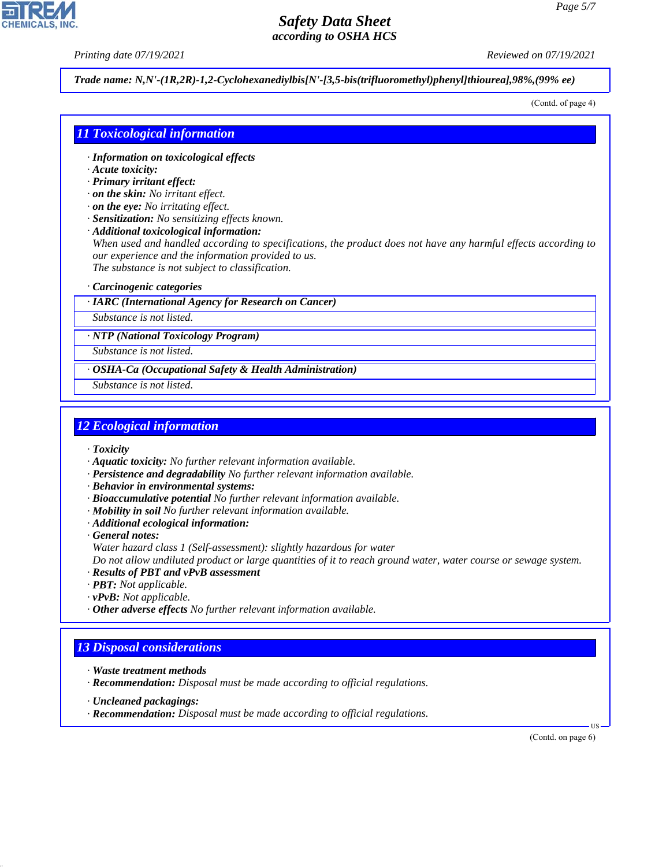*Printing date 07/19/2021 Reviewed on 07/19/2021*

*Trade name: N,N'-(1R,2R)-1,2-Cyclohexanediylbis[N'-[3,5-bis(trifluoromethyl)phenyl]thiourea],98%,(99% ee)*

(Contd. of page 4)

#### *11 Toxicological information*

- *· Information on toxicological effects*
- *· Acute toxicity:*
- *· Primary irritant effect:*
- *· on the skin: No irritant effect.*
- *· on the eye: No irritating effect.*
- *· Sensitization: No sensitizing effects known.*
- *· Additional toxicological information:*

*When used and handled according to specifications, the product does not have any harmful effects according to our experience and the information provided to us. The substance is not subject to classification.*

*· Carcinogenic categories*

*· IARC (International Agency for Research on Cancer)*

*Substance is not listed.*

*· NTP (National Toxicology Program)*

*Substance is not listed.*

*· OSHA-Ca (Occupational Safety & Health Administration)*

*Substance is not listed.*

### *12 Ecological information*

*· Toxicity*

- *· Aquatic toxicity: No further relevant information available.*
- *· Persistence and degradability No further relevant information available.*
- *· Behavior in environmental systems:*
- *· Bioaccumulative potential No further relevant information available.*
- *· Mobility in soil No further relevant information available.*
- *· Additional ecological information:*
- *· General notes:*
- *Water hazard class 1 (Self-assessment): slightly hazardous for water*

*Do not allow undiluted product or large quantities of it to reach ground water, water course or sewage system.*

- *· Results of PBT and vPvB assessment*
- *· PBT: Not applicable.*
- *· vPvB: Not applicable.*
- *· Other adverse effects No further relevant information available.*

### *13 Disposal considerations*

- *· Waste treatment methods*
- *· Recommendation: Disposal must be made according to official regulations.*
- *· Uncleaned packagings:*

44.1.1

*· Recommendation: Disposal must be made according to official regulations.*

(Contd. on page 6)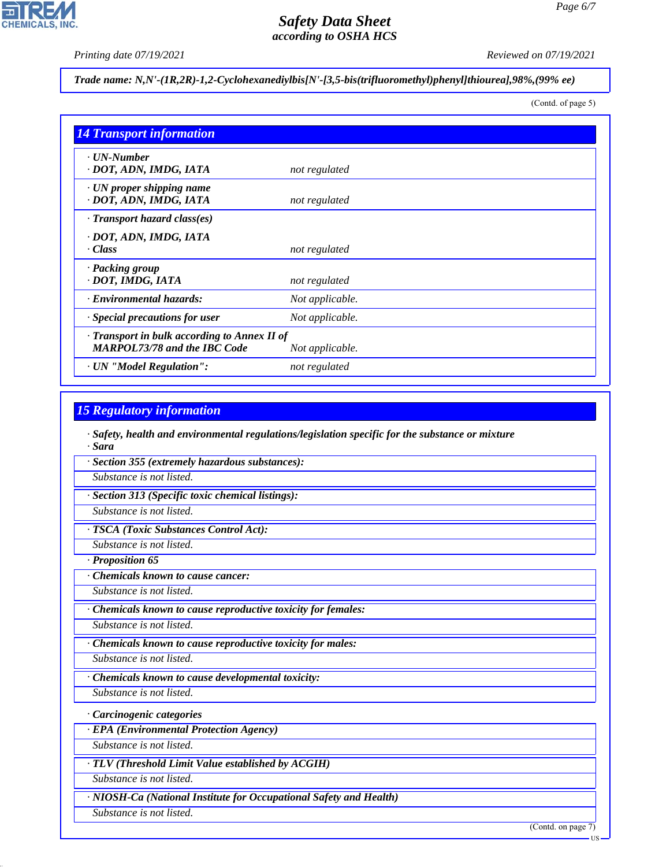*Page 6/7*

*Printing date 07/19/2021 Reviewed on 07/19/2021*

# *Trade name: N,N'-(1R,2R)-1,2-Cyclohexanediylbis[N'-[3,5-bis(trifluoromethyl)phenyl]thiourea],98%,(99% ee)*

(Contd. of page 5)

| <b>14 Transport information</b>                                                     |                 |
|-------------------------------------------------------------------------------------|-----------------|
| $\cdot$ UN-Number<br>· DOT, ADN, IMDG, IATA                                         | not regulated   |
| $\cdot$ UN proper shipping name<br>· DOT, ADN, IMDG, IATA                           | not regulated   |
| $\cdot$ Transport hazard class(es)                                                  |                 |
| · DOT, ADN, IMDG, IATA<br>· Class                                                   | not regulated   |
| · Packing group<br>· DOT, IMDG, IATA                                                | not regulated   |
| · Environmental hazards:                                                            | Not applicable. |
| Special precautions for user                                                        | Not applicable. |
| · Transport in bulk according to Annex II of<br><b>MARPOL73/78 and the IBC Code</b> | Not applicable. |
| · UN "Model Regulation":                                                            | not regulated   |

### *15 Regulatory information*

*· Safety, health and environmental regulations/legislation specific for the substance or mixture · Sara*

*· Section 355 (extremely hazardous substances):*

*Substance is not listed.*

*· Section 313 (Specific toxic chemical listings):*

*Substance is not listed.*

*· TSCA (Toxic Substances Control Act):*

*Substance is not listed.*

*· Proposition 65*

*· Chemicals known to cause cancer:*

*Substance is not listed.*

*· Chemicals known to cause reproductive toxicity for females:*

*Substance is not listed.*

*· Chemicals known to cause reproductive toxicity for males:*

*Substance is not listed.*

*· Chemicals known to cause developmental toxicity:*

*Substance is not listed.*

*· Carcinogenic categories*

*· EPA (Environmental Protection Agency)*

*Substance is not listed.*

*· TLV (Threshold Limit Value established by ACGIH)*

*Substance is not listed.*

*· NIOSH-Ca (National Institute for Occupational Safety and Health)*

*Substance is not listed.*

44.1.1

(Contd. on page 7)